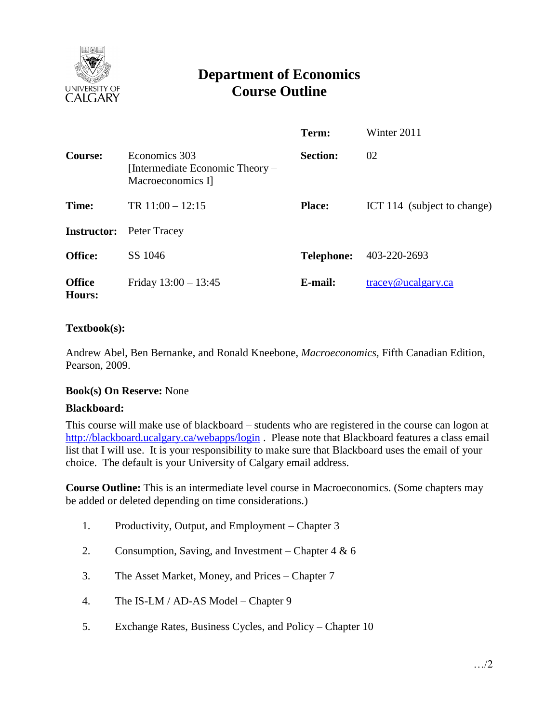

# **Department of Economics Course Outline**

|                         |                                                                       | Term:             | Winter 2011                              |
|-------------------------|-----------------------------------------------------------------------|-------------------|------------------------------------------|
| <b>Course:</b>          | Economics 303<br>[Intermediate Economic Theory –<br>Macroeconomics I] | <b>Section:</b>   | 02                                       |
| Time:                   | TR $11:00 - 12:15$                                                    | <b>Place:</b>     | ICT 114 (subject to change)              |
| <b>Instructor:</b>      | Peter Tracey                                                          |                   |                                          |
| Office:                 | SS 1046                                                               | <b>Telephone:</b> | 403-220-2693                             |
| <b>Office</b><br>Hours: | Friday $13:00 - 13:45$                                                | E-mail:           | $trace\$ <sub><i>Q</i></sub> ucalgary.ca |

# **Textbook(s):**

Andrew Abel, Ben Bernanke, and Ronald Kneebone, *Macroeconomics,* Fifth Canadian Edition, Pearson, 2009.

# **Book(s) On Reserve:** None

#### **Blackboard:**

This course will make use of blackboard – students who are registered in the course can logon at <http://blackboard.ucalgary.ca/webapps/login>. Please note that Blackboard features a class email list that I will use. It is your responsibility to make sure that Blackboard uses the email of your choice. The default is your University of Calgary email address.

**Course Outline:** This is an intermediate level course in Macroeconomics. (Some chapters may be added or deleted depending on time considerations.)

- 1. Productivity, Output, and Employment Chapter 3
- 2. Consumption, Saving, and Investment Chapter 4 & 6
- 3. The Asset Market, Money, and Prices Chapter 7
- 4. The IS-LM / AD-AS Model Chapter 9
- 5. Exchange Rates, Business Cycles, and Policy Chapter 10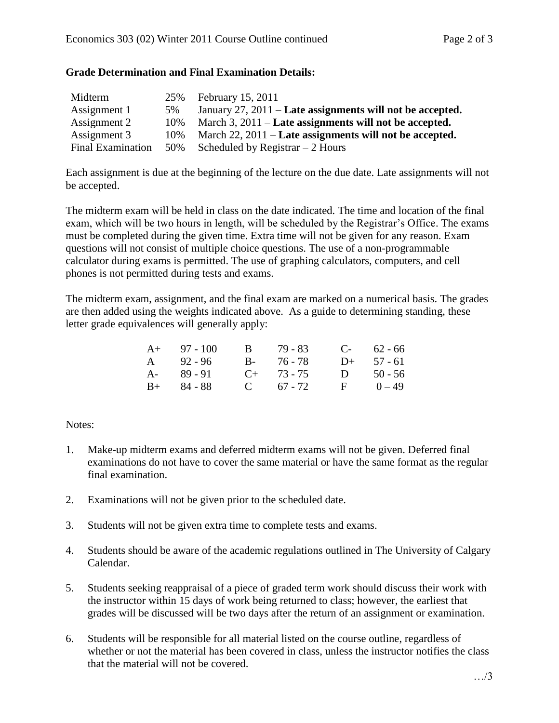# **Grade Determination and Final Examination Details:**

| Midterm                  | 25% | February 15, 2011                                               |
|--------------------------|-----|-----------------------------------------------------------------|
| Assignment 1             | 5%  | January 27, 2011 – Late assignments will not be accepted.       |
| Assignment 2             | 10% | March 3, $2011 -$ <b>Late assignments will not be accepted.</b> |
| Assignment 3             | 10% | March $22$ , $2011$ – Late assignments will not be accepted.    |
| <b>Final Examination</b> | 50% | Scheduled by Registrar $-2$ Hours                               |

Each assignment is due at the beginning of the lecture on the due date. Late assignments will not be accepted.

The midterm exam will be held in class on the date indicated. The time and location of the final exam, which will be two hours in length, will be scheduled by the Registrar's Office. The exams must be completed during the given time. Extra time will not be given for any reason. Exam questions will not consist of multiple choice questions. The use of a non-programmable calculator during exams is permitted. The use of graphing calculators, computers, and cell phones is not permitted during tests and exams.

The midterm exam, assignment, and the final exam are marked on a numerical basis. The grades are then added using the weights indicated above. As a guide to determining standing, these letter grade equivalences will generally apply:

| $A+ 97 - 100$ | B 79 - 83       |              | $C-$ 62 - 66 |
|---------------|-----------------|--------------|--------------|
| $A = 92 - 96$ | B- 76-78        | $D+$         | 57 - 61      |
| A- 89-91      | $C_{+}$ 73 - 75 | $\mathbf{D}$ | $50 - 56$    |
| $B+ 84 - 88$  | $C = 67 - 72$   | $\mathbf{F}$ | $0 - 49$     |

# Notes:

- 1. Make-up midterm exams and deferred midterm exams will not be given. Deferred final examinations do not have to cover the same material or have the same format as the regular final examination.
- 2. Examinations will not be given prior to the scheduled date.
- 3. Students will not be given extra time to complete tests and exams.
- 4. Students should be aware of the academic regulations outlined in The University of Calgary Calendar.
- 5. Students seeking reappraisal of a piece of graded term work should discuss their work with the instructor within 15 days of work being returned to class; however, the earliest that grades will be discussed will be two days after the return of an assignment or examination.
- 6. Students will be responsible for all material listed on the course outline, regardless of whether or not the material has been covered in class, unless the instructor notifies the class that the material will not be covered.